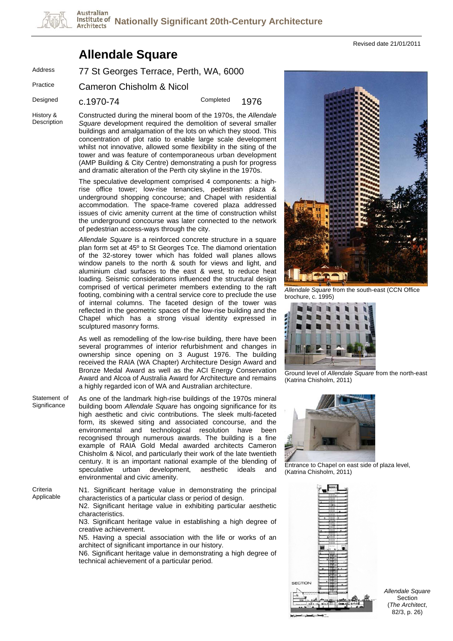## **Allendale Square**

Address 77 St Georges Terrace, Perth, WA, 6000

Practice Cameron Chisholm & Nicol

Designed c.1970-74 Completed 1976

History & **Description** 

Constructed during the mineral boom of the 1970s, the *Allendale Square* development required the demolition of several smaller buildings and amalgamation of the lots on which they stood. This concentration of plot ratio to enable large scale development whilst not innovative, allowed some flexibility in the siting of the tower and was feature of contemporaneous urban development (AMP Building & City Centre) demonstrating a push for progress and dramatic alteration of the Perth city skyline in the 1970s.

The speculative development comprised 4 components: a highrise office tower; low-rise tenancies, pedestrian plaza & underground shopping concourse; and Chapel with residential accommodation. The space-frame covered plaza addressed issues of civic amenity current at the time of construction whilst the underground concourse was later connected to the network of pedestrian access-ways through the city.

*Allendale Square* is a reinforced concrete structure in a square plan form set at 45º to St Georges Tce. The diamond orientation of the 32-storey tower which has folded wall planes allows window panels to the north & south for views and light, and aluminium clad surfaces to the east & west, to reduce heat loading. Seismic considerations influenced the structural design comprised of vertical perimeter members extending to the raft footing, combining with a central service core to preclude the use of internal columns. The faceted design of the tower was reflected in the geometric spaces of the low-rise building and the Chapel which has a strong visual identity expressed in sculptured masonry forms.

As well as remodelling of the low-rise building, there have been several programmes of interior refurbishment and changes in ownership since opening on 3 August 1976. The building received the RAIA (WA Chapter) Architecture Design Award and Bronze Medal Award as well as the ACI Energy Conservation Award and Alcoa of Australia Award for Architecture and remains a highly regarded icon of WA and Australian architecture.

Statement of **Significance** As one of the landmark high-rise buildings of the 1970s mineral building boom *Allendale Square* has ongoing significance for its high aesthetic and civic contributions. The sleek multi-faceted form, its skewed siting and associated concourse, and the environmental and technological resolution have been recognised through numerous awards. The building is a fine example of RAIA Gold Medal awarded architects Cameron Chisholm & Nicol, and particularly their work of the late twentieth century. It is an important national example of the blending of speculative urban development, aesthetic ideals and environmental and civic amenity.

**Criteria** Applicable N1. Significant heritage value in demonstrating the principal characteristics of a particular class or period of design.

> N2. Significant heritage value in exhibiting particular aesthetic characteristics.

> N3. Significant heritage value in establishing a high degree of creative achievement.

> N5. Having a special association with the life or works of an architect of significant importance in our history.

> N6. Significant heritage value in demonstrating a high degree of technical achievement of a particular period.





Ground level of *Allendale Square* from the north-east (Katrina Chisholm, 2011)



Entrance to Chapel on east side of plaza level, (Katrina Chisholm, 2011)



*Allendale Square* **Section** (*The Architect*, 82/3, p. 26)

Revised date 21/01/2011